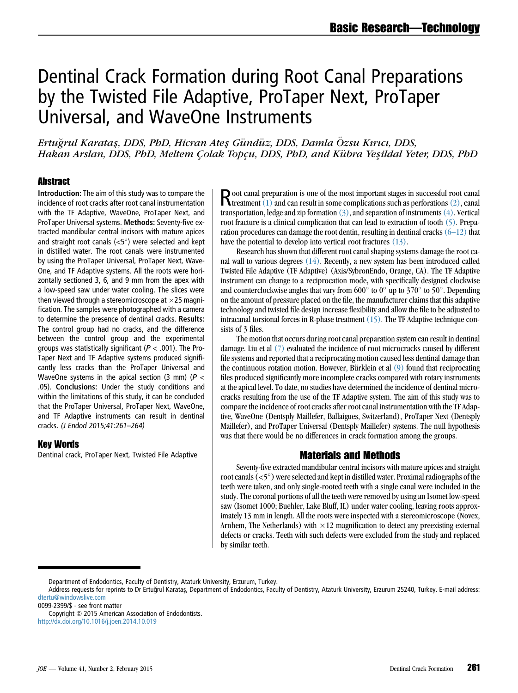# Dentinal Crack Formation during Root Canal Preparations by the Twisted File Adaptive, ProTaper Next, ProTaper Universal, and WaveOne Instruments

Ertuğrul Karatas, DDS, PbD, Hicran Ates Gündüz, DDS, Damla Özsu Kırıcı, DDS, Hakan Arslan, DDS, PhD, Meltem Çolak Topçu, DDS, PhD, and Kübra Yeşildal Yeter, DDS, PhD

#### **Abstract**

Introduction: The aim of this study was to compare the incidence of root cracks after root canal instrumentation with the TF Adaptive, WaveOne, ProTaper Next, and ProTaper Universal systems. Methods: Seventy-five extracted mandibular central incisors with mature apices and straight root canals  $(<5^{\circ})$  were selected and kept in distilled water. The root canals were instrumented by using the ProTaper Universal, ProTaper Next, Wave-One, and TF Adaptive systems. All the roots were horizontally sectioned 3, 6, and 9 mm from the apex with a low-speed saw under water cooling. The slices were then viewed through a stereomicroscope at  $\times$ 25 magnification. The samples were photographed with a camera to determine the presence of dentinal cracks. Results: The control group had no cracks, and the difference between the control group and the experimental groups was statistically significant ( $P < .001$ ). The Pro-Taper Next and TF Adaptive systems produced significantly less cracks than the ProTaper Universal and WaveOne systems in the apical section (3 mm) ( $P <$ .05). Conclusions: Under the study conditions and within the limitations of this study, it can be concluded that the ProTaper Universal, ProTaper Next, WaveOne, and TF Adaptive instruments can result in dentinal cracks. (J Endod 2015;41:261–264)

#### Key Words

Dentinal crack, ProTaper Next, Twisted File Adaptive

 $\mathbf{R}$ oot canal preparation is one of the most important stages in successful root canal<br>treatment [\(1\)](#page-2-0) and can result in some complications such as perforations [\(2\),](#page-2-0) canal transportation, ledge and zip formation  $(3)$ , and separation of instruments  $(4)$ . Vertical root fracture is a clinical complication that can lead to extraction of tooth [\(5\).](#page-2-0) Preparation procedures can damage the root dentin, resulting in dentinal cracks  $(6-12)$  that have the potential to develop into vertical root fractures [\(13\)](#page-2-0).

Research has shown that different root canal shaping systems damage the root canal wall to various degrees [\(14\)](#page-2-0). Recently, a new system has been introduced called Twisted File Adaptive (TF Adaptive) (Axis/SybronEndo, Orange, CA). The TF Adaptive instrument can change to a reciprocation mode, with specifically designed clockwise and counterclockwise angles that vary from  $600^{\circ}$  to  $0^{\circ}$  up to  $370^{\circ}$  to  $50^{\circ}$ . Depending on the amount of pressure placed on the file, the manufacturer claims that this adaptive technology and twisted file design increase flexibility and allow the file to be adjusted to intracanal torsional forces in R-phase treatment [\(15\)](#page-2-0). The TF Adaptive technique consists of 3 files.

The motion that occurs during root canal preparation system can result in dentinal damage. Liu et al [\(7\)](#page-2-0) evaluated the incidence of root microcracks caused by different file systems and reported that a reciprocating motion caused less dentinal damage than the continuous rotation motion. However, Bürklein et al  $(9)$  found that reciprocating files produced significantly more incomplete cracks compared with rotary instruments at the apical level. To date, no studies have determined the incidence of dentinal microcracks resulting from the use of the TF Adaptive system. The aim of this study was to compare the incidence of root cracks after root canal instrumentation with the TF Adaptive, WaveOne (Dentsply Maillefer, Ballaigues, Switzerland), ProTaper Next (Dentsply Maillefer), and ProTaper Universal (Dentsply Maillefer) systems. The null hypothesis was that there would be no differences in crack formation among the groups.

#### Materials and Methods

Seventy-five extracted mandibular central incisors with mature apices and straight root canals  $(<5^{\circ})$  were selected and kept in distilled water. Proximal radiographs of the teeth were taken, and only single-rooted teeth with a single canal were included in the study. The coronal portions of all the teeth were removed by using an Isomet low-speed saw (Isomet 1000; Buehler, Lake Bluff, IL) under water cooling, leaving roots approximately 13 mm in length. All the roots were inspected with a stereomicroscope (Novex, Arnhem, The Netherlands) with  $\times 12$  magnification to detect any preexisting external defects or cracks. Teeth with such defects were excluded from the study and replaced by similar teeth.

Department of Endodontics, Faculty of Dentistry, Ataturk University, Erzurum, Turkey.

Address requests for reprints to Dr Ertuğrul Karataş, Department of Endodontics, Faculty of Dentistry, Ataturk University, Erzurum 25240, Turkey. E-mail address: [dtertu@windowslive.com](mailto:dtertu@windowslive.com)

<sup>0099-2399/\$ -</sup> see front matter

Copyright © 2015 American Association of Endodontists. <http://dx.doi.org/10.1016/j.joen.2014.10.019>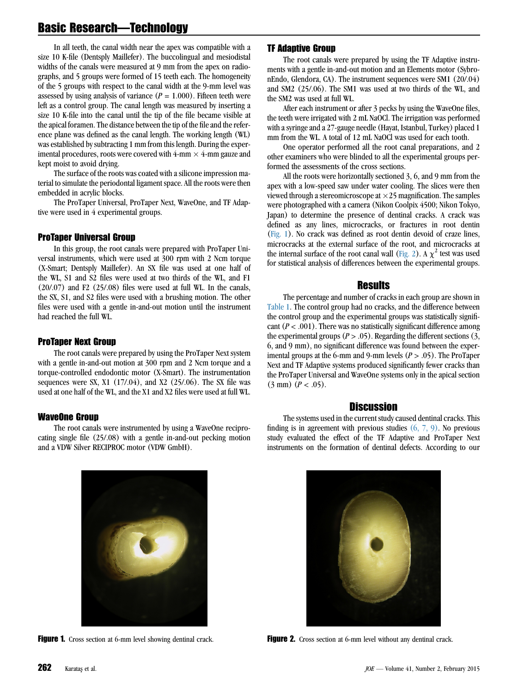### Basic Research—Technology

In all teeth, the canal width near the apex was compatible with a size 10 K-file (Dentsply Maillefer). The buccolingual and mesiodistal widths of the canals were measured at 9 mm from the apex on radiographs, and 5 groups were formed of 15 teeth each. The homogeneity of the 5 groups with respect to the canal width at the 9-mm level was assessed by using analysis of variance  $(P = 1.000)$ . Fifteen teeth were left as a control group. The canal length was measured by inserting a size 10 K-file into the canal until the tip of the file became visible at the apical foramen. The distance between the tip of the file and the reference plane was defined as the canal length. The working length (WL) was established by subtracting 1 mm from this length. During the experimental procedures, roots were covered with  $4\text{-mm} \times 4\text{-mm}$  gauze and kept moist to avoid drying.

The surface of the roots was coated with a silicone impression material to simulate the periodontal ligament space. All the roots were then embedded in acrylic blocks.

The ProTaper Universal, ProTaper Next, WaveOne, and TF Adaptive were used in 4 experimental groups.

#### ProTaper Universal Group

In this group, the root canals were prepared with ProTaper Universal instruments, which were used at 300 rpm with 2 Ncm torque (X-Smart; Dentsply Maillefer). An SX file was used at one half of the WL, S1 and S2 files were used at two thirds of the WL, and F1  $(20/07)$  and F2  $(25/08)$  files were used at full WL. In the canals, the SX, S1, and S2 files were used with a brushing motion. The other files were used with a gentle in-and-out motion until the instrument had reached the full WL.

#### ProTaper Next Group

The root canals were prepared by using the ProTaper Next system with a gentle in-and-out motion at 300 rpm and 2 Ncm torque and a torque-controlled endodontic motor (X-Smart). The instrumentation sequences were SX, X1 (17/.04), and X2 (25/.06). The SX file was used at one half of the WL, and the X1 and X2 files were used at full WL.

#### WaveOne Group

The root canals were instrumented by using a WaveOne reciprocating single file (25/.08) with a gentle in-and-out pecking motion and a VDW Silver RECIPROC motor (VDW GmbH).

#### TF Adaptive Group

The root canals were prepared by using the TF Adaptive instruments with a gentle in-and-out motion and an Elements motor (SybronEndo, Glendora, CA). The instrument sequences were SM1 (20/.04) and SM2 (25/.06). The SM1 was used at two thirds of the WL, and the SM2 was used at full WL.

After each instrument or after 3 pecks by using the WaveOne files, the teeth were irrigated with 2 mL NaOCl. The irrigation was performed with a syringe and a 27-gauge needle (Hayat, Istanbul, Turkey) placed 1 mm from the WL. A total of 12 mL NaOCl was used for each tooth.

One operator performed all the root canal preparations, and 2 other examiners who were blinded to all the experimental groups performed the assessments of the cross sections.

All the roots were horizontally sectioned 3, 6, and 9 mm from the apex with a low-speed saw under water cooling. The slices were then viewed through a stereomicroscope at  $\times 25$  magnification. The samples were photographed with a camera (Nikon Coolpix 4500; Nikon Tokyo, Japan) to determine the presence of dentinal cracks. A crack was defined as any lines, microcracks, or fractures in root dentin (Fig. 1). No crack was defined as root dentin devoid of craze lines, microcracks at the external surface of the root, and microcracks at the internal surface of the root canal wall (Fig. 2). A  $\chi^2$  test was used for statistical analysis of differences between the experimental groups.

#### **Results**

The percentage and number of cracks in each group are shown in [Table 1](#page-2-0). The control group had no cracks, and the difference between the control group and the experimental groups was statistically significant  $(P < .001)$ . There was no statistically significant difference among the experimental groups ( $P > .05$ ). Regarding the different sections (3, 6, and 9 mm), no significant difference was found between the experimental groups at the 6-mm and 9-mm levels ( $P > .05$ ). The ProTaper Next and TF Adaptive systems produced significantly fewer cracks than the ProTaper Universal and WaveOne systems only in the apical section  $(3 \text{ mm})$   $(P < .05)$ .

#### **Discussion**

The systems used in the current study caused dentinal cracks. This finding is in agreement with previous studies  $(6, 7, 9)$ . No previous study evaluated the effect of the TF Adaptive and ProTaper Next instruments on the formation of dentinal defects. According to our



Figure 1. Cross section at 6-mm level showing dentinal crack. Figure 2. Cross section at 6-mm level without any dentinal crack.

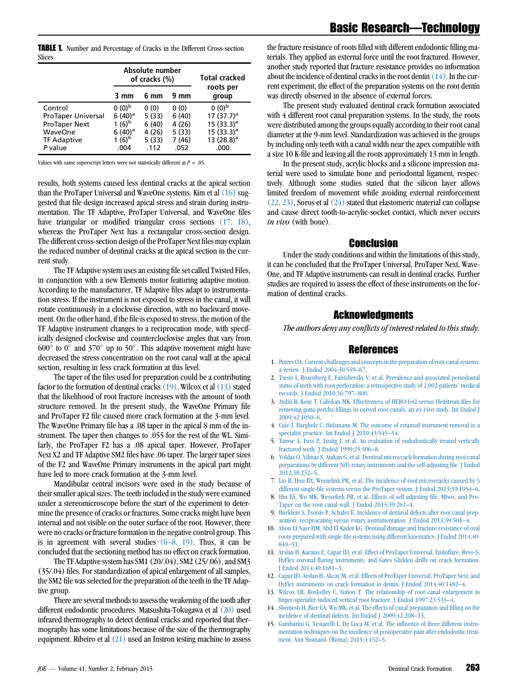<span id="page-2-0"></span>TABLE 1. Number and Percentage of Cracks in the Different Cross-section Slices

|                           | Absolute number<br>of cracks (%) |       |       | Total cracked      |
|---------------------------|----------------------------------|-------|-------|--------------------|
|                           | 3 mm                             | 6 mm  | 9 mm  | roots per<br>group |
| Control                   | $0(0)^{b}$                       | 0(0)  | 0(0)  | $0(0)^{b}$         |
| <b>ProTaper Universal</b> | $6(40)^a$                        | 5(33) | 6(40) | 17 $(37.7)^a$      |
| <b>ProTaper Next</b>      | 1 $(6)^{b}$                      | 6(40) | 4(26) | 15 $(33.3)^a$      |
| WaveOne                   | $6(40)^a$                        | 4(26) | 5(33) | 15 $(33.3)^a$      |
| <b>TF Adaptive</b>        | 1 $(6)^{b}$                      | 5(33) | 7(46) | 13 $(28.8)^a$      |
| P value                   | .004                             | .112  | .052  | .000               |

Values with same superscript letters were not statistically different at  $P = .05$ .

results, both systems caused less dentinal cracks at the apical section than the ProTaper Universal and WaveOne systems. Kim et al [\(16\)](#page-3-0) suggested that file design increased apical stress and strain during instrumentation. The TF Adaptive, ProTaper Universal, and WaveOne files have triangular or modified triangular cross sections  $(17, 18)$ , whereas the ProTaper Next has a rectangular cross-section design. The different cross-section design of the ProTaper Next files may explain the reduced number of dentinal cracks at the apical section in the current study.

The TF Adaptive system uses an existing file set called Twisted Files, in conjunction with a new Elements motor featuring adaptive motion. According to the manufacturer, TF Adaptive files adapt to instrumentation stress. If the instrument is not exposed to stress in the canal, it will rotate continuously in a clockwise direction, with no backward movement. On the other hand, if the file is exposed to stress, the motion of the TF Adaptive instrument changes to a reciprocation mode, with specifically designed clockwise and counterclockwise angles that vary from  $600^{\circ}$  to  $0^{\circ}$  and 370° up to 50°. This adaptive movement might have decreased the stress concentration on the root canal wall at the apical section, resulting in less crack formation at this level.

The taper of the files used for preparation could be a contributing factor to the formation of dentinal cracks  $(19)$ . Wilcox et al  $(13)$  stated that the likelihood of root fracture increases with the amount of tooth structure removed. In the present study, the WaveOne Primary file and ProTaper F2 file caused more crack formation at the 3-mm level. The WaveOne Primary file has a .08 taper in the apical 8 mm of the instrument. The taper then changes to .055 for the rest of the WL. Similarly, the ProTaper F2 has a .08 apical taper. However, ProTaper Next X2 and TF Adaptive SM2 files have .06 taper. The larger taper sizes of the F2 and WaveOne Primary instruments in the apical part might have led to more crack formation at the 3-mm level.

Mandibular central incisors were used in the study because of their smaller apical sizes. The teeth included in the study were examined under a stereomicroscope before the start of the experiment to determine the presence of cracks or fractures. Some cracks might have been internal and not visible on the outer surface of the root. However, there were no cracks or fracture formation in the negative control group. This is in agreement with several studies  $(6-8, 19)$ . Thus, it can be concluded that the sectioning method has no effect on crack formation.

The TF Adaptive system has SM1 (20/.04), SM2 (25/.06), and SM3 (35/.04) files. For standardization of apical enlargement of all samples, the SM2 file was selected for the preparation of the teeth in the TF Adaptive group.

There are several methods to assess the weakening of the tooth after different endodontic procedures. Matsushita-Tokugawa et al [\(20\)](#page-3-0) used infrared thermography to detect dentinal cracks and reported that thermography has some limitations because of the size of the thermography equipment. Ribeiro et al [\(21\)](#page-3-0) used an Instron testing machine to assess

the fracture resistance of roots filled with different endodontic filling materials. They applied an external force until the root fractured. However, another study reported that fracture resistance provides no information about the incidence of dentinal cracks in the root dentin (14). In the current experiment, the effect of the preparation systems on the root dentin was directly observed in the absence of external forces.

The present study evaluated dentinal crack formation associated with 4 different root canal preparation systems. In the study, the roots were distributed among the groups equally according to their root canal diameter at the 9-mm level. Standardization was achieved in the groups by including only teeth with a canal width near the apex compatible with a size 10 K-file and leaving all the roots approximately 13 mm in length.

In the present study, acrylic blocks and a silicone impression material were used to simulate bone and periodontal ligament, respectively. Although some studies stated that the silicon layer allows limited freedom of movement while avoiding external reinforcement  $(22, 23)$ , Soros et al  $(24)$  stated that elastomeric material can collapse and cause direct tooth-to-acrylic-socket contact, which never occurs in vivo (with bone).

#### Conclusion

Under the study conditions and within the limitations of this study, it can be concluded that the ProTaper Universal, ProTaper Next, Wave-One, and TF Adaptive instruments can result in dentinal cracks. Further studies are required to assess the effect of these instruments on the formation of dentinal cracks.

#### Acknowledgments

The authors deny any conflicts of interest related to this study.

#### References

- 1. [Peters OA. Current challenges and concepts in the preparation of root canal systems:](http://refhub.elsevier.com/S0099-2399(14)01007-3/sref1) [a review. J Endod 2004;30:559–67.](http://refhub.elsevier.com/S0099-2399(14)01007-3/sref1)
- 2. [Tsesis I, Rosenberg E, Faivishevsky V, et al. Prevalence and associated periodontal](http://refhub.elsevier.com/S0099-2399(14)01007-3/sref2) [status of teeth with root perforation: a retrospective study of 2,002 patients' medical](http://refhub.elsevier.com/S0099-2399(14)01007-3/sref2) [records. J Endod 2010;36:797–800.](http://refhub.elsevier.com/S0099-2399(14)01007-3/sref2)
- 3. [Aydin B, Kose T, Caliskan MK. Effectiveness of HERO 642 versus Hedstrom files for](http://refhub.elsevier.com/S0099-2399(14)01007-3/sref3) [removing gutta-percha fillings in curved root canals: an](http://refhub.elsevier.com/S0099-2399(14)01007-3/sref3) ex vivo study. Int Endod J [2009;42:1050–6.](http://refhub.elsevier.com/S0099-2399(14)01007-3/sref3)
- 4. [Cuje J, Bargholz C, Hulsmann M. The outcome of retained instrument removal in a](http://refhub.elsevier.com/S0099-2399(14)01007-3/sref4) specialist practice. Int Endod J 2010;43:545-54.
- 5. [Tamse A, Fuss Z, Lustig J, et al. An evaluation of endodontically treated vertically](http://refhub.elsevier.com/S0099-2399(14)01007-3/sref5) [fractured teeth. J Endod 1999;25:506–8](http://refhub.elsevier.com/S0099-2399(14)01007-3/sref5).
- 6. [Yoldas O, Yilmaz S, Atakan G, et al. Dentinal microcrack formation during root canal](http://refhub.elsevier.com/S0099-2399(14)01007-3/sref6) [preparations by different NiTi rotary instruments and the self-adjusting file. J Endod](http://refhub.elsevier.com/S0099-2399(14)01007-3/sref6) [2012;38:232–5](http://refhub.elsevier.com/S0099-2399(14)01007-3/sref6).
- 7. [Liu R, Hou BX, Wesselink PR, et al. The incidence of root microcracks caused by 3](http://refhub.elsevier.com/S0099-2399(14)01007-3/sref7) [different single-file systems versus the ProTaper system. J Endod 2013;39:1054–6](http://refhub.elsevier.com/S0099-2399(14)01007-3/sref7).
- 8. [Hin ES, Wu MK, Wesselink PR, et al. Effects of self-adjusting file, Mtwo, and Pro-](http://refhub.elsevier.com/S0099-2399(14)01007-3/sref8)[Taper on the root canal wall. J Endod 2013;39:262–4.](http://refhub.elsevier.com/S0099-2399(14)01007-3/sref8)
- 9. [Burklein S, Tsotsis P, Schafer E. Incidence of dentinal defects after root canal prep](http://refhub.elsevier.com/S0099-2399(14)01007-3/sref9)[aration: reciprocating versus rotary instrumentation. J Endod 2013;39:501–4.](http://refhub.elsevier.com/S0099-2399(14)01007-3/sref9)
- 10. [Abou El Nasr HM, Abd El Kader KG. Dentinal damage and fracture resistance of oval](http://refhub.elsevier.com/S0099-2399(14)01007-3/sref10) [roots prepared with single-file systems using different kinematics. J Endod 2014;40:](http://refhub.elsevier.com/S0099-2399(14)01007-3/sref10) [849–51](http://refhub.elsevier.com/S0099-2399(14)01007-3/sref10).
- 11. [Arslan H, Karatas E, Capar ID, et al. Effect of ProTaper Universal, Endoflare, Revo-S,](http://refhub.elsevier.com/S0099-2399(14)01007-3/sref11) [HyFlex coronal flaring instruments, and Gates Glidden drills on crack formation.](http://refhub.elsevier.com/S0099-2399(14)01007-3/sref11) [J Endod 2014;40:1681–3.](http://refhub.elsevier.com/S0099-2399(14)01007-3/sref11)
- 12. [Capar ID, Arslan H, Akcay M, et al. Effects of ProTaper Universal, ProTaper Next, and](http://refhub.elsevier.com/S0099-2399(14)01007-3/sref12) [HyFlex instruments on crack formation in dentin. J Endod 2014;40:1482–4](http://refhub.elsevier.com/S0099-2399(14)01007-3/sref12).
- 13. [Wilcox LR, Roskelley C, Sutton T. The relationship of root canal enlargement to](http://refhub.elsevier.com/S0099-2399(14)01007-3/sref13) [finger-spreader induced vertical root fracture. J Endod 1997;23:533–4](http://refhub.elsevier.com/S0099-2399(14)01007-3/sref13).
- 14. [Shemesh H, Bier CA, Wu MK, et al. The effects of canal preparation and filling on the](http://refhub.elsevier.com/S0099-2399(14)01007-3/sref14) [incidence of dentinal defects. Int Endod J 2009;42:208–13.](http://refhub.elsevier.com/S0099-2399(14)01007-3/sref14)
- 15. [Gambarini G, Testarelli L, De Luca M, et al. The influence of three different instru](http://refhub.elsevier.com/S0099-2399(14)01007-3/sref15)[mentation techniques on the incidence of postoperative pain after endodontic treat](http://refhub.elsevier.com/S0099-2399(14)01007-3/sref15)[ment. Ann Stomatol \(Roma\) 2013;4:152–5.](http://refhub.elsevier.com/S0099-2399(14)01007-3/sref15)